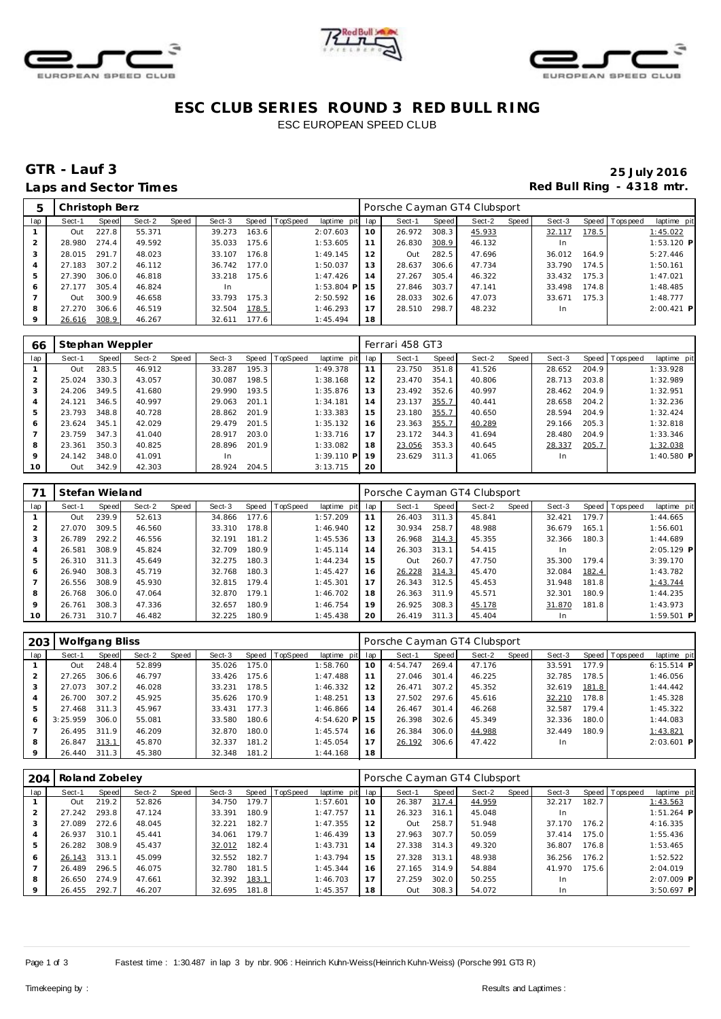





### **ESC CLUB SERIES ROUND 3 RED BULL RING** ESC EUROPEAN SPEED CLUB

## **GTR - Lauf 3 25 July 2016** Laps and Sector Times **Red Bull Ring - 4318 mtr.**

| 5              | Christoph Berz |       |        |       |        |       |                  |                 |    | Porsche Cayman GT4 Clubsport |       |        |       |           |       |                 |              |
|----------------|----------------|-------|--------|-------|--------|-------|------------------|-----------------|----|------------------------------|-------|--------|-------|-----------|-------|-----------------|--------------|
| lap            | Sect-1         | Speed | Sect-2 | Speed | Sect-3 |       | Speed   TopSpeed | laptime pit lap |    | Sect-1                       | Speed | Sect-2 | Speed | Sect-3    |       | Speed Tops peed | laptime pit  |
|                | Out            | 227.8 | 55.371 |       | 39.273 | 163.6 |                  | 2:07.603        | 10 | 26.972                       | 308.3 | 45.933 |       | 32.117    | 178.5 |                 | 1:45.022     |
|                | 28.980         | 274.4 | 49.592 |       | 35.033 | 175.6 |                  | 1:53.605        | 11 | 26.830                       | 308.9 | 46.132 |       | <b>In</b> |       |                 | $1:53.120$ P |
| 3              | 28.015         | 291.7 | 48.023 |       | 33.107 | 176.8 |                  | 1:49.145        | 12 | Out                          | 282.5 | 47.696 |       | 36.012    | 164.9 |                 | 5:27.446     |
| $\overline{4}$ | 27.183         | 307.2 | 46.112 |       | 36.742 | 177.0 |                  | 1:50.037        | 13 | 28.637                       | 306.6 | 47.734 |       | 33.790    | 174.5 |                 | 1:50.161     |
| 5              | 27.390         | 306.0 | 46.818 |       | 33.218 | 175.6 |                  | 1:47.426        | 14 | 27.267                       | 305.4 | 46.322 |       | 33.432    | 175.3 |                 | 1:47.021     |
| 6              | 27.177         | 305.4 | 46.824 |       | In.    |       |                  | $1:53.804$ P    | 15 | 27.846                       | 303.7 | 47.141 |       | 33.498    | 174.8 |                 | 1:48.485     |
|                | Out            | 300.9 | 46.658 |       | 33.793 | 175.3 |                  | 2:50.592        | 16 | 28.033                       | 302.6 | 47.073 |       | 33.671    | 175.3 |                 | 1:48.777     |
| 8              | 27.270         | 306.6 | 46.519 |       | 32.504 | 178.5 |                  | 1:46.293        | 17 | 28.510                       | 298.7 | 48.232 |       | <b>In</b> |       |                 | $2:00.421$ P |
|                | 26.616         | 308.9 | 46.267 |       | 32.611 | 177.6 |                  | 1:45.494        | 18 |                              |       |        |       |           |       |                 |              |

| 66  | Stephan Weppler |       |        |       |        |       |                 |              |     | Ferrari 458 GT3 |       |        |       |        |       |                 |              |
|-----|-----------------|-------|--------|-------|--------|-------|-----------------|--------------|-----|-----------------|-------|--------|-------|--------|-------|-----------------|--------------|
| lap | Sect-1          | Speed | Sect-2 | Speed | Sect-3 | Speed | <b>TopSpeed</b> | laptime pit  | lap | Sect-1          | Speed | Sect-2 | Speed | Sect-3 |       | Speed Tops peed | laptime pit  |
|     | Out             | 283.5 | 46.912 |       | 33.287 | 195.3 |                 | 1:49.378     | 11  | 23.750          | 351.8 | 41.526 |       | 28.652 | 204.9 |                 | 1:33.928     |
|     | 25.024          | 330.3 | 43.057 |       | 30.087 | 198.5 |                 | 1:38.168     | 12  | 23.470          | 354.1 | 40.806 |       | 28.713 | 203.8 |                 | 1:32.989     |
|     | 24.206          | 349.5 | 41.680 |       | 29.990 | 193.5 |                 | 1:35.876     | 13  | 23.492          | 352.6 | 40.997 |       | 28.462 | 204.9 |                 | 1:32.951     |
|     | 24.121          | 346.5 | 40.997 |       | 29.063 | 201.1 |                 | 1:34.181     | 14  | 23.137          | 355.7 | 40.441 |       | 28.658 | 204.2 |                 | 1:32.236     |
|     | 23.793          | 348.8 | 40.728 |       | 28.862 | 201.9 |                 | 1:33.383     | 15  | 23.180          | 355.7 | 40.650 |       | 28.594 | 204.9 |                 | 1:32.424     |
| 6   | 23.624          | 345.1 | 42.029 |       | 29.479 | 201.5 |                 | 1:35.132     | 16  | 23.363          | 355.7 | 40.289 |       | 29.166 | 205.3 |                 | 1:32.818     |
|     | 23.759          | 347.3 | 41.040 |       | 28.917 | 203.0 |                 | 1:33.716     | 17  | 23.172          | 344.3 | 41.694 |       | 28.480 | 204.9 |                 | 1:33.346     |
| 8   | 23.361          | 350.3 | 40.825 |       | 28.896 | 201.9 |                 | 1:33.082     | 18  | 23.056          | 353.3 | 40.645 |       | 28.337 | 205.7 |                 | 1:32.038     |
|     | 24.142          | 348.0 | 41.091 |       | In     |       |                 | $1:39.110$ P | 19  | 23.629          | 311.3 | 41.065 |       | In     |       |                 | $1:40.580$ P |
| 10  | Out             | 342.9 | 42.303 |       | 28.924 | 204.5 |                 | 3:13.715     | 20  |                 |       |        |       |        |       |                 |              |

|             | Stefan Wieland |       |        |       |        |       |                |             |     | Porsche Cayman GT4 Clubsport |       |        |       |        |       |                |              |
|-------------|----------------|-------|--------|-------|--------|-------|----------------|-------------|-----|------------------------------|-------|--------|-------|--------|-------|----------------|--------------|
| lap         | Sect-1         | Speed | Sect-2 | Speed | Sect-3 |       | Speed TopSpeed | laptime pit | lap | Sect-1                       | Speed | Sect-2 | Speed | Sect-3 |       | Speed Topspeed | laptime pit  |
|             | Out            | 239.9 | 52.613 |       | 34.866 | 177.6 |                | 1:57.209    | 11  | 26.403                       | 311.3 | 45.841 |       | 32.421 | 179.7 |                | 1:44.665     |
| 2           | 27.070         | 309.5 | 46.560 |       | 33.310 | 178.8 |                | 1:46.940    | 12  | 30.934                       | 258.7 | 48.988 |       | 36.679 | 165.1 |                | 1:56.601     |
| 3           | 26.789         | 292.2 | 46.556 |       | 32.191 | 181.2 |                | 1:45.536    | 13  | 26.968                       | 314.3 | 45.355 |       | 32.366 | 180.3 |                | 1:44.689     |
| 4           | 26.581         | 308.9 | 45.824 |       | 32.709 | 180.9 |                | 1:45.114    | 14  | 26.303                       | 313.1 | 54.415 |       |        |       |                | 2:05.129 P   |
| 5           | 26.310         | 311.3 | 45.649 |       | 32.275 | 180.3 |                | 1:44.234    | 15  | Out                          | 260.7 | 47.750 |       | 35.300 | 179.4 |                | 3:39.170     |
| 6           | 26.940         | 308.3 | 45.719 |       | 32.768 | 180.3 |                | 1:45.427    | 16  | 26.228                       | 314.3 | 45.470 |       | 32.084 | 182.4 |                | 1:43.782     |
|             | 26.556         | 308.9 | 45.930 |       | 32.815 | 179.4 |                | 1:45.301    | 17  | 26.343                       | 312.5 | 45.453 |       | 31.948 | 181.8 |                | 1:43.744     |
| 8           | 26.768         | 306.0 | 47.064 |       | 32.870 | 179.1 |                | 1:46.702    | 18  | 26.363                       | 311.9 | 45.571 |       | 32.301 | 180.9 |                | 1:44.235     |
| $\mathsf Q$ | 26.761         | 308.3 | 47.336 |       | 32.657 | 180.9 |                | 1:46.754    | 19  | 26.925                       | 308.3 | 45.178 |       | 31.870 | 181.8 |                | 1:43.973     |
| 10          | 26.731         | 310.7 | 46.482 |       | 32.225 | 180.9 |                | 1:45.438    | 20  | 26.419                       | 311.3 | 45.404 |       | In.    |       |                | $1:59.501$ P |

| 203 | Wolfgang Bliss |       |        |       |        |       |                |             |     | Porsche Cayman GT4 Clubsport |       |        |       |        |       |                |              |
|-----|----------------|-------|--------|-------|--------|-------|----------------|-------------|-----|------------------------------|-------|--------|-------|--------|-------|----------------|--------------|
| lap | Sect-1         | Speed | Sect-2 | Speed | Sect-3 |       | Speed TopSpeed | laptime pit | lap | Sect-1                       | Speed | Sect-2 | Speed | Sect-3 |       | Speed Topspeed | laptime pit  |
|     | Out            | 248.4 | 52.899 |       | 35.026 | 175.0 |                | 1:58.760    | 10  | 4:54.747                     | 269.4 | 47.176 |       | 33.591 | 177.9 |                | $6:15.514$ P |
|     | 27.265         | 306.6 | 46.797 |       | 33.426 | 175.6 |                | 1:47.488    | 11  | 27.046                       | 301.4 | 46.225 |       | 32.785 | 178.5 |                | 1:46.056     |
|     | 27.073         | 307.2 | 46.028 |       | 33.231 | 178.5 |                | 1:46.332    | 12  | 26.471                       | 307.2 | 45.352 |       | 32.619 | 181.8 |                | 1:44.442     |
|     | 26.700         | 307.2 | 45.925 |       | 35.626 | 170.9 |                | 1:48.251    | 13  | 27.502                       | 297.6 | 45.616 |       | 32.210 | 178.8 |                | 1:45.328     |
|     | 27.468         | 311.3 | 45.967 |       | 33.431 | 177.3 |                | 1:46.866    | 14  | 26.467                       | 301.4 | 46.268 |       | 32.587 | 179.4 |                | 1:45.322     |
| 6   | 3:25.959       | 306.0 | 55.081 |       | 33.580 | 180.6 |                | 4:54.620 P  | 15  | 26.398                       | 302.6 | 45.349 |       | 32.336 | 180.0 |                | 1:44.083     |
|     | 26.495         | 311.9 | 46.209 |       | 32.870 | 180.0 |                | 1:45.574    | 16  | 26.384                       | 306.0 | 44.988 |       | 32.449 | 180.9 |                | 1:43.821     |
| 8   | 26.847         | 313.1 | 45.870 |       | 32.337 | 181.2 |                | 1:45.054    |     | 26.192                       | 306.6 | 47.422 |       | In.    |       |                | $2:03.601$ P |
|     | 26.440         | 311.3 | 45.380 |       | 32.348 | 181.2 |                | 1:44.168    | 18  |                              |       |        |       |        |       |                |              |

| 204     | Roland Zobeley |       |        |       |        |       |                |             |     | Porsche Cayman GT4 Clubsport |       |        |       |        |       |                |              |
|---------|----------------|-------|--------|-------|--------|-------|----------------|-------------|-----|------------------------------|-------|--------|-------|--------|-------|----------------|--------------|
| lap     | Sect-1         | Speed | Sect-2 | Speed | Sect-3 |       | Speed TopSpeed | laptime pit | lap | Sect-1                       | Speed | Sect-2 | Speed | Sect-3 |       | Speed Topspeed | laptime pit  |
|         | Out            | 219.2 | 52.826 |       | 34.750 | 179.7 |                | 1:57.601    | 10  | 26.387                       | 317.4 | 44.959 |       | 32.217 | 182.7 |                | 1:43.563     |
|         | 27.242         | 293.8 | 47.124 |       | 33.391 | 180.9 |                | 1:47.757    | 11  | 26.323                       | 316.1 | 45.048 |       | -In    |       |                | $1:51.264$ P |
|         | 27.089         | 272.6 | 48.045 |       | 32.221 | 182.7 |                | 1:47.355    | 12  | Out                          | 258.7 | 51.948 |       | 37.170 | 176.2 |                | 4:16.335     |
|         | 26.937         | 310.1 | 45.441 |       | 34.061 | 179.7 |                | 1:46.439    | 13  | 27.963                       | 307.7 | 50.059 |       | 37.414 | 175.0 |                | 1:55.436     |
|         | 26.282         | 308.9 | 45.437 |       | 32.012 | 182.4 |                | 1:43.731    | 14  | 27.338                       | 314.3 | 49.320 |       | 36.807 | 176.8 |                | 1:53.465     |
| 6       | 26.143         | 313.1 | 45.099 |       | 32.552 | 182.7 |                | 1:43.794    | 15  | 27.328                       | 313.1 | 48.938 |       | 36.256 | 176.2 |                | 1:52.522     |
|         | 26.489         | 296.5 | 46.075 |       | 32.780 | 181.5 |                | 1:45.344    | 16  | 27.165                       | 314.9 | 54.884 |       | 41.970 | 175.6 |                | 2:04.019     |
| 8       | 26.650         | 274.9 | 47.661 |       | 32.392 | 183.1 |                | 1:46.703    | 17  | 27.259                       | 302.0 | 50.255 |       | In     |       |                | $2:07.009$ P |
| $\circ$ | 26.455         | 292.7 | 46.207 |       | 32.695 | 181.8 |                | 1:45.357    | 18  | Out                          | 308.3 | 54.072 |       | In.    |       |                | $3:50.697$ P |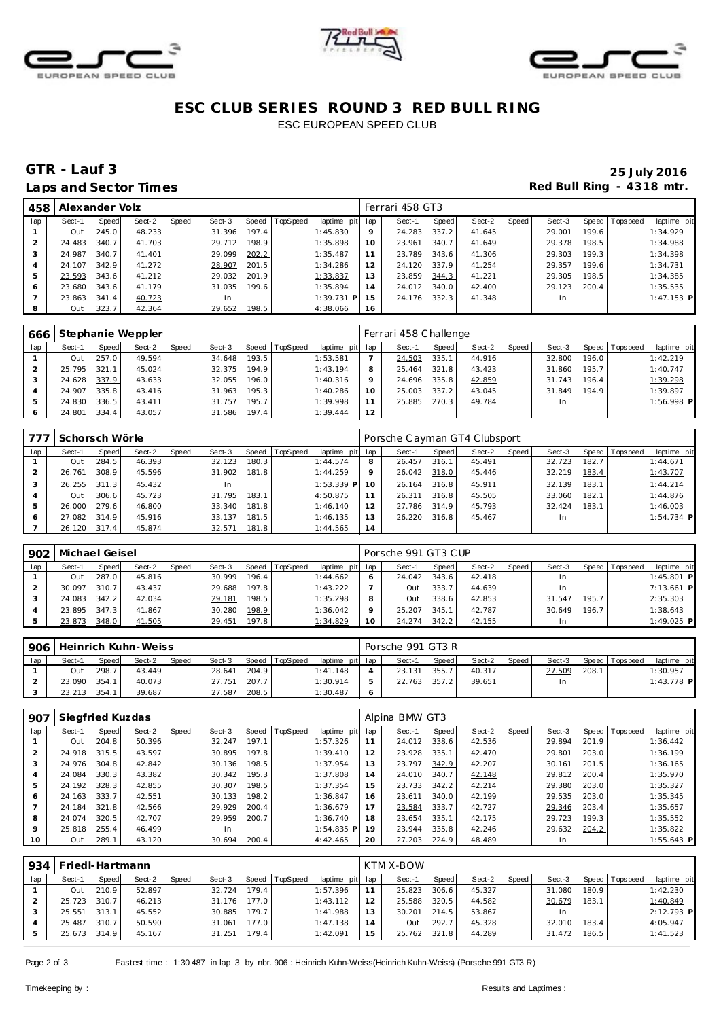





### **ESC CLUB SERIES ROUND 3 RED BULL RING** ESC EUROPEAN SPEED CLUB

## **GTR - Lauf 3 25 July 2016** Laps and Sector Times **Red Bull Ring - 4318 mtr.**

| 458            | Alexander Volz |       |        |       |        |       |                |                 |    | Ferrari 458 GT3 |       |        |         |        |       |                |              |
|----------------|----------------|-------|--------|-------|--------|-------|----------------|-----------------|----|-----------------|-------|--------|---------|--------|-------|----------------|--------------|
| lap            | Sect-1         | Speed | Sect-2 | Speed | Sect-3 |       | Speed TopSpeed | laptime pit lap |    | Sect-1          | Speed | Sect-2 | Speed I | Sect-3 |       | Speed Topspeed | laptime pit  |
|                | Out            | 245.0 | 48.233 |       | 31.396 | 197.4 |                | 1:45.830        | 9  | 24.283          | 337.2 | 41.645 |         | 29.001 | 199.6 |                | 1:34.929     |
|                | 24.483         | 340.7 | 41.703 |       | 29.712 | 198.9 |                | 1:35.898        | 10 | 23.961          | 340.7 | 41.649 |         | 29.378 | 198.5 |                | 1:34.988     |
| 3              | 24.987         | 340.7 | 41.401 |       | 29.099 | 202.2 |                | 1:35.487        | 11 | 23.789          | 343.6 | 41.306 |         | 29.303 | 199.3 |                | 1:34.398     |
| $\overline{A}$ | 24.107         | 342.9 | 41.272 |       | 28.907 | 201.5 |                | 1:34.286        | 12 | 24.120          | 337.9 | 41.254 |         | 29.357 | 199.6 |                | 1:34.731     |
| 5              | 23.593         | 343.6 | 41.212 |       | 29.032 | 201.9 |                | 1:33.837        | 13 | 23.859          | 344.3 | 41.221 |         | 29.305 | 198.5 |                | 1:34.385     |
| 6              | 23.680         | 343.6 | 41.179 |       | 31.035 | 199.6 |                | 1:35.894        | 14 | 24.012          | 340.0 | 42.400 |         | 29.123 | 200.4 |                | 1:35.535     |
|                | 23.863         | 341.4 | 40.723 |       | In.    |       |                | $1:39.731$ P    | 15 | 24.176          | 332.3 | 41.348 |         | In     |       |                | $1:47.153$ P |
| 8              | Out            | 323.7 | 42.364 |       | 29.652 | 198.5 |                | 4:38.066        | 16 |                 |       |        |         |        |       |                |              |

| 666 |        |       | Stephanie Weppler |       |        |        |                |                 |    | Ferrari 458 Challenge |       |        |       |        |       |                 |              |
|-----|--------|-------|-------------------|-------|--------|--------|----------------|-----------------|----|-----------------------|-------|--------|-------|--------|-------|-----------------|--------------|
| lap | Sect-1 | Speed | Sect-2            | Speed | Sect-3 |        | Speed TopSpeed | laptime pit lap |    | Sect-1                | Speed | Sect-2 | Speed | Sect-3 |       | Speed Tops peed | laptime pit  |
|     | Out    | 257.0 | 49.594            |       | 34.648 | 193.5  |                | 1:53.581        |    | 24.503                | 335.1 | 44.916 |       | 32.800 | 196.0 |                 | 1:42.219     |
|     | 25.795 | 321   | 45.024            |       | 32.375 | 194.9  |                | 1:43.194        |    | 25.464                | 321.8 | 43.423 |       | 31.860 | 195.7 |                 | 1:40.747     |
|     | 24.628 | 337.9 | 43.633            |       | 32.055 | 196.01 |                | 1:40.316        |    | 24.696                | 335.8 | 42.859 |       | 31.743 | 196.4 |                 | 1:39.298     |
|     | 24.907 | 335.8 | 43.416            |       | 31.963 | 195.3  |                | 1:40.286        | 10 | 25.003                | 337.2 | 43.045 |       | 31.849 | 194.9 |                 | 1:39.897     |
|     | 24.830 | 336.5 | 43.411            |       | 31.757 | 195.7  |                | 1:39.998        |    | 25.885                | 270.3 | 49.784 |       | In     |       |                 | $1:56.998$ P |
|     | 24.801 | 334.4 | 43.057            |       | 31.586 | 197.4  |                | 1:39.444        | 12 |                       |       |        |       |        |       |                 |              |

| 77  | Schorsch Wörle |                    |        |       |        |       |                |              |         | Porsche Cayman GT4 Clubsport |       |        |       |           |       |                |              |
|-----|----------------|--------------------|--------|-------|--------|-------|----------------|--------------|---------|------------------------------|-------|--------|-------|-----------|-------|----------------|--------------|
| lap | Sect-1         | Speed              | Sect-2 | Speed | Sect-3 |       | Speed TopSpeed | laptime pit  | lap     | Sect-1                       | Speed | Sect-2 | Speed | Sect-3    |       | Speed Topspeed | laptime pit  |
|     | Out            | 284.5              | 46.393 |       | 32.123 | 180.3 |                | 1:44.574     | 8       | 26.457                       | 316.1 | 45.491 |       | 32.723    | 182.7 |                | 1:44.671     |
|     | 26.761         | 308.9              | 45.596 |       | 31.902 | 181.8 |                | 1:44.259     | $\circ$ | 26.042                       | 318.0 | 45.446 |       | 32.219    | 183.4 |                | 1:43.707     |
|     | 26.255         | 311<br>$\cdot$ 3   | 45.432 |       | 1n     |       |                | $1:53.339$ P | 10      | 26.164                       | 316.8 | 45.911 |       | 32.139    | 183.1 |                | 1:44.214     |
|     | Out            | 306.6              | 45.723 |       | 31.795 | 183.1 |                | 4:50.875     | 11      | 26.311                       | 316.8 | 45.505 |       | 33.060    | 182.1 |                | 1:44.876     |
|     | 26.000         | 279.6              | 46.800 |       | 33.340 | 181.8 |                | 1:46.140     | 12      | 27.786                       | 314.9 | 45.793 |       | 32.424    | 183.1 |                | 1:46.003     |
|     | 27.082         | 314.9 <sub>1</sub> | 45.916 |       | 33.137 | 181.5 |                | 1:46.135     | 13      | 26.220                       | 316.8 | 45.467 |       | <b>In</b> |       |                | $1:54.734$ P |
|     | 26.120         | 317.4              | 45.874 |       | 32.571 | 181.8 |                | 1:44.565     | 14      |                              |       |        |       |           |       |                |              |

| 902 | Michael Geisel |       |        |       |        |       |                  |                 |    | Porsche 991 GT3 CUP |       |        |       |        |       |                 |              |
|-----|----------------|-------|--------|-------|--------|-------|------------------|-----------------|----|---------------------|-------|--------|-------|--------|-------|-----------------|--------------|
| lap | Sect-1         | Speed | Sect-2 | Speed | Sect-3 |       | Speed   TopSpeed | laptime pit lap |    | Sect-1              | Speed | Sect-2 | Speed | Sect-3 |       | Speed Tops peed | laptime pit  |
|     | Out            | 287.0 | 45.816 |       | 30.999 | 196.4 |                  | 1:44.662        |    | 24.042              | 343.6 | 42.418 |       | In.    |       |                 | $1:45.801$ P |
|     | 30.097         | 310.7 | 43.437 |       | 29.688 | 197.8 |                  | 1:43.222        |    | Out                 | 333.7 | 44.639 |       | In.    |       |                 | $7:13.661$ P |
|     | 24.083         | 342.2 | 42.034 |       | 29.181 | 198.5 |                  | 1:35.298        |    | Out                 | 338.6 | 42.853 |       | 31.547 | 195.7 |                 | 2:35.303     |
|     | 23.895         | 347.3 | 41.867 |       | 30.280 | 198.9 |                  | 1:36.042        |    | 25.207              | 345.1 | 42.787 |       | 30.649 | 196.7 |                 | 1:38.643     |
|     | 23.873         | 348.0 | 41.505 |       | 29.451 | 197.8 |                  | 1:34.829        | 10 | 24.274              | 342.2 | 42.155 |       |        |       |                 | $1:49.025$ P |

| 906 |        |              | Heinrich Kuhn-Weiss |              |        |       |                |                 |   | Porsche 991 GT3 R |              |        |       |        |       |                |              |
|-----|--------|--------------|---------------------|--------------|--------|-------|----------------|-----------------|---|-------------------|--------------|--------|-------|--------|-------|----------------|--------------|
| lap | Sect-1 | <b>Speed</b> | Sect-2              | <b>Speed</b> | Sect-3 |       | Speed TopSpeed | laptime pit lap |   | Sect-1            | <b>Speed</b> | Sect-2 | Speed | Sect-3 |       | Speed Topspeed | laptime pit  |
|     | Out    | 298.7        | 43.449              |              | 28.641 | 204.9 |                | 1:41.148        |   | 23.131            | 355.         | 40.317 |       | 27.509 | 208.1 |                | 1:30.957     |
|     | 23.090 | 354          | 40.073              |              | 27.751 | 207.7 |                | 1:30.914        |   | 22.763            | 357.2        | 39.651 |       | ln.    |       |                | $1:43.778$ P |
|     | 23.213 | 354          | 39.687              |              | 27.587 | 208.5 |                | 1:30.487        | O |                   |              |        |       |        |       |                |              |

| 907     | Siegfried Kuzdas |       |        |       |        |       |          |                 |    | Alpina BMW GT3 |       |        |       |        |       |                |              |
|---------|------------------|-------|--------|-------|--------|-------|----------|-----------------|----|----------------|-------|--------|-------|--------|-------|----------------|--------------|
| lap     | Sect-1           | Speed | Sect-2 | Speed | Sect-3 | Speed | TopSpeed | laptime pit lap |    | Sect-1         | Speed | Sect-2 | Speed | Sect-3 |       | Speed Topspeed | laptime pit  |
|         | Out              | 204.8 | 50.396 |       | 32.247 | 197.1 |          | 1:57.326        | 11 | 24.012         | 338.6 | 42.536 |       | 29.894 | 201.9 |                | 1:36.442     |
|         | 24.918           | 315.5 | 43.597 |       | 30.895 | 197.8 |          | 1:39.410        | 12 | 23.928         | 335.1 | 42.470 |       | 29.801 | 203.0 |                | 1:36.199     |
|         | 24.976           | 304.8 | 42.842 |       | 30.136 | 198.5 |          | 1:37.954        | 13 | 23.797         | 342.9 | 42.207 |       | 30.161 | 201.5 |                | 1:36.165     |
|         | 24.084           | 330.3 | 43.382 |       | 30.342 | 195.3 |          | 1:37.808        | 14 | 24.010         | 340.7 | 42.148 |       | 29.812 | 200.4 |                | 1:35.970     |
|         | 24.192           | 328.3 | 42.855 |       | 30.307 | 198.5 |          | 1:37.354        | 15 | 23.733         | 342.2 | 42.214 |       | 29.380 | 203.0 |                | 1:35.327     |
| 6       | 24.163           | 333.7 | 42.551 |       | 30.133 | 198.2 |          | 1:36.847        | 16 | 23.611         | 340.0 | 42.199 |       | 29.535 | 203.0 |                | 1:35.345     |
|         | 24.184           | 321.8 | 42.566 |       | 29.929 | 200.4 |          | 1:36.679        | 17 | 23.584         | 333.7 | 42.727 |       | 29.346 | 203.4 |                | 1:35.657     |
| 8       | 24.074           | 320.5 | 42.707 |       | 29.959 | 200.7 |          | 1:36.740        | 18 | 23.654         | 335.1 | 42.175 |       | 29.723 | 199.3 |                | 1:35.552     |
| $\circ$ | 25.818           | 255.4 | 46.499 |       | In.    |       |          | $1:54.835$ P 19 |    | 23.944         | 335.8 | 42.246 |       | 29.632 | 204.2 |                | 1:35.822     |
| 10      | Out              | 289.1 | 43.120 |       | 30.694 | 200.4 |          | 4:42.465        | 20 | 27.203         | 224.9 | 48.489 |       | In     |       |                | $1:55.643$ P |

| 934 | Friedl-Hartmann |       |        |       |        |       |          |                 |    | KTM X-BOW |       |        |         |        |       |                   |             |
|-----|-----------------|-------|--------|-------|--------|-------|----------|-----------------|----|-----------|-------|--------|---------|--------|-------|-------------------|-------------|
| lap | Sect-1          | Speed | Sect-2 | Speed | Sect-3 | Speed | TopSpeed | laptime pit lap |    | Sect-1    | Speed | Sect-2 | Speed I | Sect-3 |       | Speed   Tops peed | laptime pit |
|     | Out             | 210.9 | 52.897 |       | 32.724 | 179.4 |          | 1:57.396        |    | 25.823    | 306.6 | 45.327 |         | 31.080 | 180.9 |                   | 1:42.230    |
|     | 25.723          | 310.7 | 46.213 |       | 31.176 | 177.0 |          | 1:43.112        |    | 25.588    | 320.5 | 44.582 |         | 30.679 | 183.1 |                   | 1:40.849    |
|     | 25.551          | 313.1 | 45.552 |       | 30.885 | 179.7 |          | 1:41.988        | 13 | 30.201    | 214.5 | 53.867 |         |        |       |                   | 2:12.793 P  |
|     | 25.487          | 310.7 | 50.590 |       | 31.061 | 177.0 |          | 1:47.138        | 14 | Out       | 292.7 | 45.328 |         | 32.010 | 183.4 |                   | 4:05.947    |
|     | 25.673 314.9    |       | 45.167 |       | 31.251 | 179.4 |          | 1:42.091        | 15 | 25.762    | 321.8 | 44.289 |         | 31.472 | 186.5 |                   | 1:41.523    |

Page 2 of 3 Fastest time : 1:30.487 in lap 3 by nbr. 906 : Heinrich Kuhn-Weiss(Heinrich Kuhn-Weiss) (Porsche 991 GT3 R)